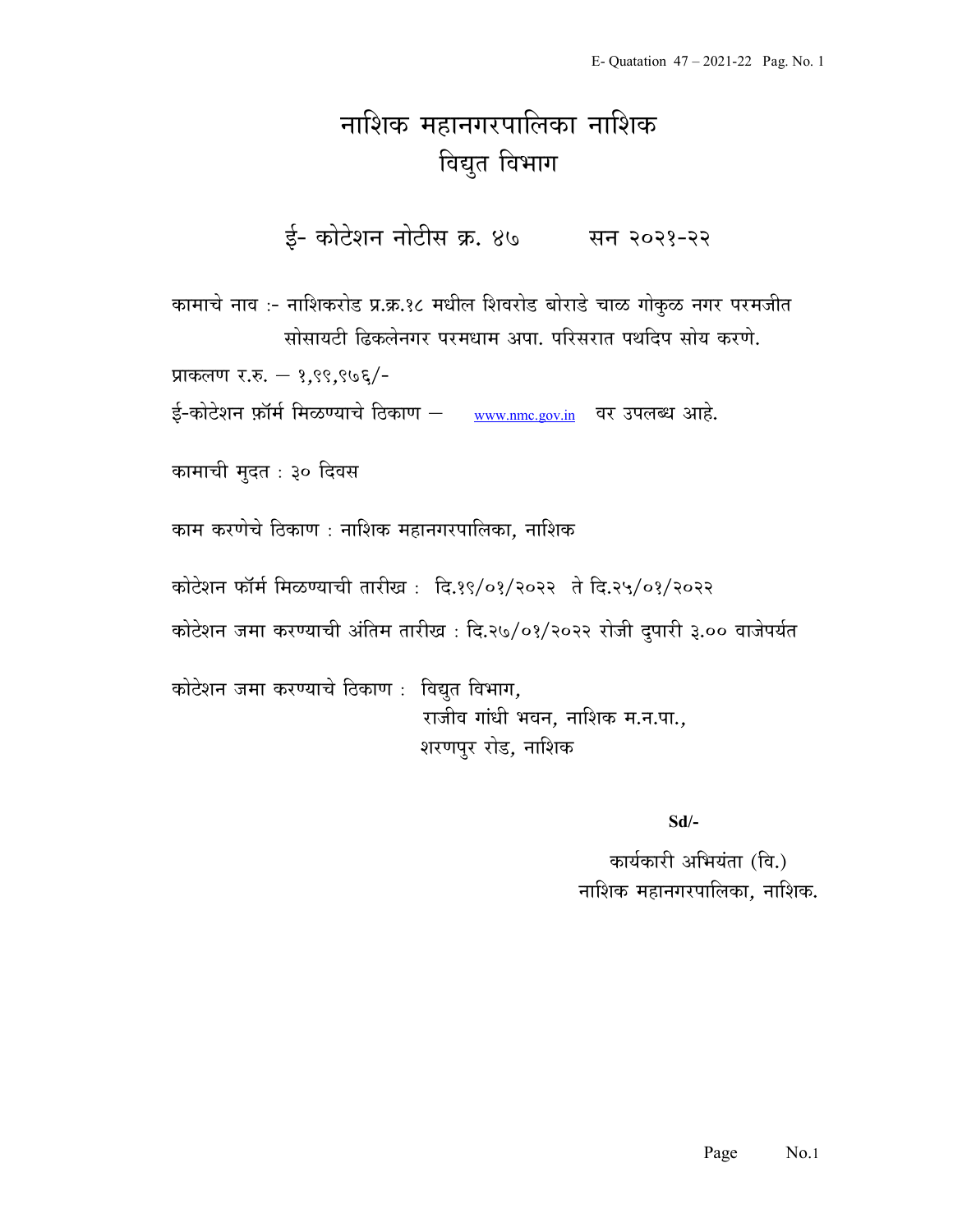## नाशिक महानगरपालिका नाशिक विद्युत विभाग

ई- कोटेशन नोटीस क्र. ४७ सन २०२१-२२

कामाचे नाव :- नाशिकरोड प्र.क्र.१८ मधील शिवरोड बोराडे चाळ गोकुळ नगर परमजीत सोसायटी ढिकलेनगर परमधाम अपा. परिसरात पथदिप सोय करणे.

प्राकलण र.रु.  $-$  १,९९,९७६/-

ई-कोटेशन फ़ॉर्म मिळण्याचे ठिकाण – www.nmc.gov.in वर उपलब्ध आहे.

कामाची मुदत : ३० दिवस

काम करणेचे ठिकाण : नाशिक महानगरपालिका, नाशिक

कोटेशन फॉर्म मिळण्याची तारीख: दि.१९/०१/२०२२ ते दि.२५/०१/२०२२

कोटेशन जमा करण्याची अंतिम तारीख : दि.२७/०१/२०२२ रोजी दुपारी ३.०० वाजेपर्यत

कोटेशन जमा करण्याचे ठिकाण : विद्युत विभाग, राजीव गांधी भवन, नाशिक म.न.पा., शरणपुर रोड, नाशिक

Sd/-

कार्यकारी अभियंता (वि.) नाशिक महानगरपालिका, नाशिक.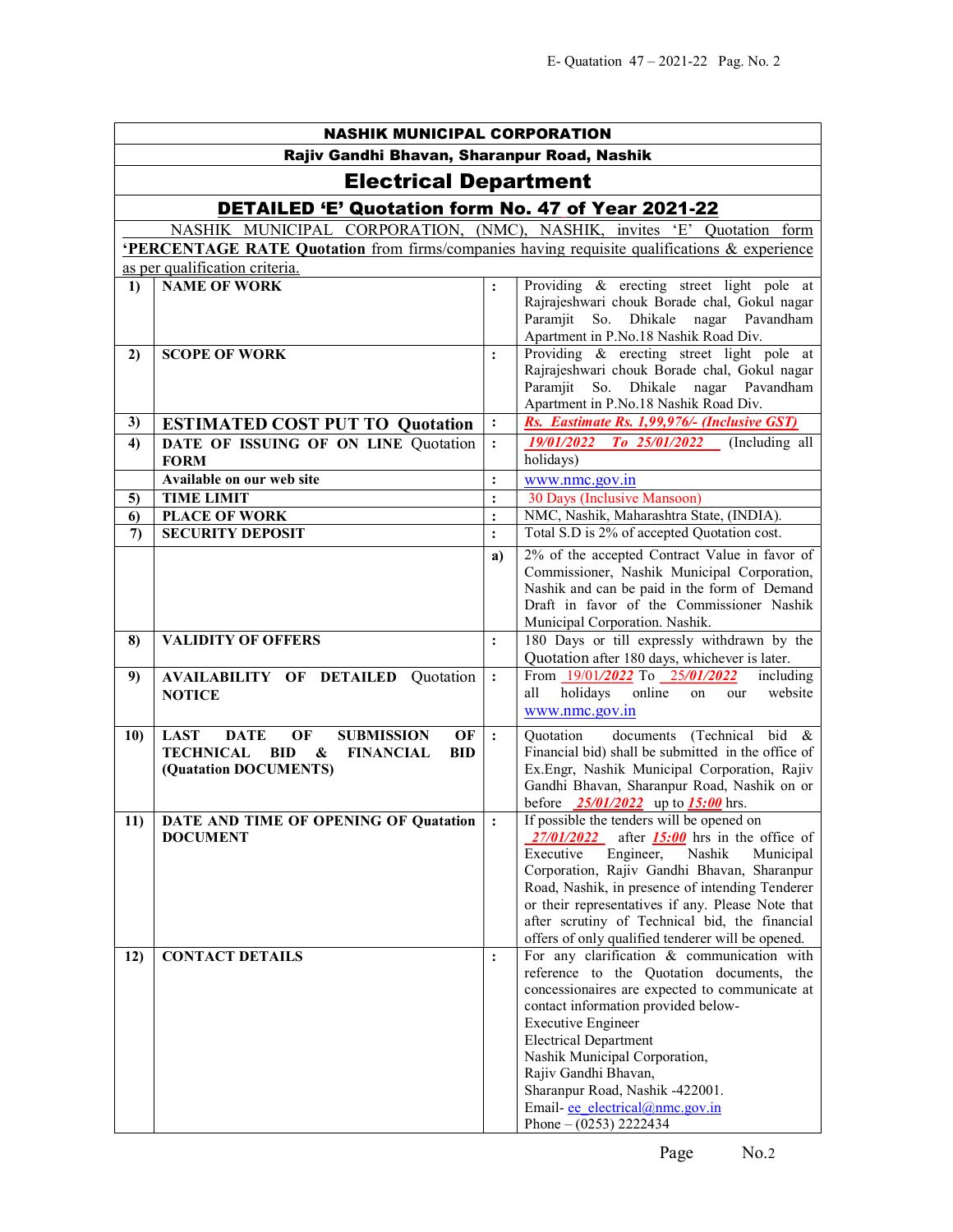| <b>NASHIK MUNICIPAL CORPORATION</b>                |                                                                                                    |                |                                                                                                                                                                                                                                                                                                                                                                                                                  |  |  |
|----------------------------------------------------|----------------------------------------------------------------------------------------------------|----------------|------------------------------------------------------------------------------------------------------------------------------------------------------------------------------------------------------------------------------------------------------------------------------------------------------------------------------------------------------------------------------------------------------------------|--|--|
| Rajiv Gandhi Bhavan, Sharanpur Road, Nashik        |                                                                                                    |                |                                                                                                                                                                                                                                                                                                                                                                                                                  |  |  |
| <b>Electrical Department</b>                       |                                                                                                    |                |                                                                                                                                                                                                                                                                                                                                                                                                                  |  |  |
| DETAILED 'E' Quotation form No. 47 of Year 2021-22 |                                                                                                    |                |                                                                                                                                                                                                                                                                                                                                                                                                                  |  |  |
|                                                    | NASHIK MUNICIPAL CORPORATION, (NMC), NASHIK, invites 'E' Quotation form                            |                |                                                                                                                                                                                                                                                                                                                                                                                                                  |  |  |
|                                                    | <b>PERCENTAGE RATE Quotation</b> from firms/companies having requisite qualifications & experience |                |                                                                                                                                                                                                                                                                                                                                                                                                                  |  |  |
|                                                    | as per qualification criteria.                                                                     |                |                                                                                                                                                                                                                                                                                                                                                                                                                  |  |  |
| 1)                                                 | <b>NAME OF WORK</b>                                                                                | $\ddot{\cdot}$ | Providing & erecting street light pole at<br>Rajrajeshwari chouk Borade chal, Gokul nagar<br>Paramjit So. Dhikale nagar Pavandham<br>Apartment in P.No.18 Nashik Road Div.                                                                                                                                                                                                                                       |  |  |
| 2)                                                 | <b>SCOPE OF WORK</b>                                                                               | $\ddot{\cdot}$ | Providing & erecting street light pole at<br>Rajrajeshwari chouk Borade chal, Gokul nagar<br>So. Dhikale nagar Pavandham<br>Paramjit<br>Apartment in P.No.18 Nashik Road Div.                                                                                                                                                                                                                                    |  |  |
| 3)                                                 | <b>ESTIMATED COST PUT TO Quotation</b>                                                             | $\ddot{\cdot}$ | Rs. Eastimate Rs. 1,99,976/- (Inclusive GST)                                                                                                                                                                                                                                                                                                                                                                     |  |  |
| 4)                                                 | DATE OF ISSUING OF ON LINE Quotation                                                               | $\ddot{\cdot}$ | 19/01/2022<br>$To$ 25/01/2022 (Including all                                                                                                                                                                                                                                                                                                                                                                     |  |  |
|                                                    | <b>FORM</b>                                                                                        |                | holidays)                                                                                                                                                                                                                                                                                                                                                                                                        |  |  |
|                                                    | Available on our web site                                                                          | $\vdots$       | www.nmc.gov.in                                                                                                                                                                                                                                                                                                                                                                                                   |  |  |
| 5)                                                 | <b>TIME LIMIT</b>                                                                                  | $\ddot{\cdot}$ | 30 Days (Inclusive Mansoon)                                                                                                                                                                                                                                                                                                                                                                                      |  |  |
| 6)                                                 | <b>PLACE OF WORK</b>                                                                               | $\ddot{\cdot}$ | NMC, Nashik, Maharashtra State, (INDIA).                                                                                                                                                                                                                                                                                                                                                                         |  |  |
| $\mathcal{L}$                                      | <b>SECURITY DEPOSIT</b>                                                                            | $\ddot{\cdot}$ | Total S.D is 2% of accepted Quotation cost.                                                                                                                                                                                                                                                                                                                                                                      |  |  |
|                                                    |                                                                                                    | a)             | 2% of the accepted Contract Value in favor of<br>Commissioner, Nashik Municipal Corporation,<br>Nashik and can be paid in the form of Demand<br>Draft in favor of the Commissioner Nashik<br>Municipal Corporation. Nashik.                                                                                                                                                                                      |  |  |
| 8)                                                 | <b>VALIDITY OF OFFERS</b>                                                                          | $\ddot{\cdot}$ | 180 Days or till expressly withdrawn by the<br>Quotation after 180 days, whichever is later.                                                                                                                                                                                                                                                                                                                     |  |  |
| 9)                                                 | <b>AVAILABILITY OF DETAILED Quotation</b><br><b>NOTICE</b>                                         | $\ddot{\cdot}$ | including<br>From 19/01/2022 To 25/01/2022<br>holidays<br>online<br>website<br>all<br>our<br>on<br>www.nmc.gov.in                                                                                                                                                                                                                                                                                                |  |  |
| 10)                                                | OF<br><b>DATE</b><br><b>SUBMISSION</b><br>OF<br><b>LAST</b>                                        | $\cdot$        | documents (Technical bid &<br>Quotation                                                                                                                                                                                                                                                                                                                                                                          |  |  |
|                                                    | <b>TECHNICAL</b><br><b>BID</b><br>&<br><b>FINANCIAL</b><br><b>BID</b><br>(Quatation DOCUMENTS)     |                | Financial bid) shall be submitted in the office of<br>Ex.Engr, Nashik Municipal Corporation, Rajiv<br>Gandhi Bhavan, Sharanpur Road, Nashik on or<br>before $\frac{25/01/2022}{25}$ up to $\frac{15:00}{25}$ hrs.                                                                                                                                                                                                |  |  |
|                                                    | 11) DATE AND TIME OF OPENING OF Quatation<br><b>DOCUMENT</b>                                       |                | If possible the tenders will be opened on<br>$27/01/2022$ after <b>15:00</b> hrs in the office of<br>Nashik<br>Engineer,<br>Municipal<br>Executive<br>Corporation, Rajiv Gandhi Bhavan, Sharanpur<br>Road, Nashik, in presence of intending Tenderer<br>or their representatives if any. Please Note that<br>after scrutiny of Technical bid, the financial<br>offers of only qualified tenderer will be opened. |  |  |
| 12)                                                | <b>CONTACT DETAILS</b>                                                                             | $\ddot{\cdot}$ | For any clarification & communication with<br>reference to the Quotation documents, the<br>concessionaires are expected to communicate at<br>contact information provided below-<br><b>Executive Engineer</b><br><b>Electrical Department</b><br>Nashik Municipal Corporation,<br>Rajiv Gandhi Bhavan,<br>Sharanpur Road, Nashik -422001.<br>Email-ee electrical@nmc.gov.in<br>Phone $- (0253)$ 2222434          |  |  |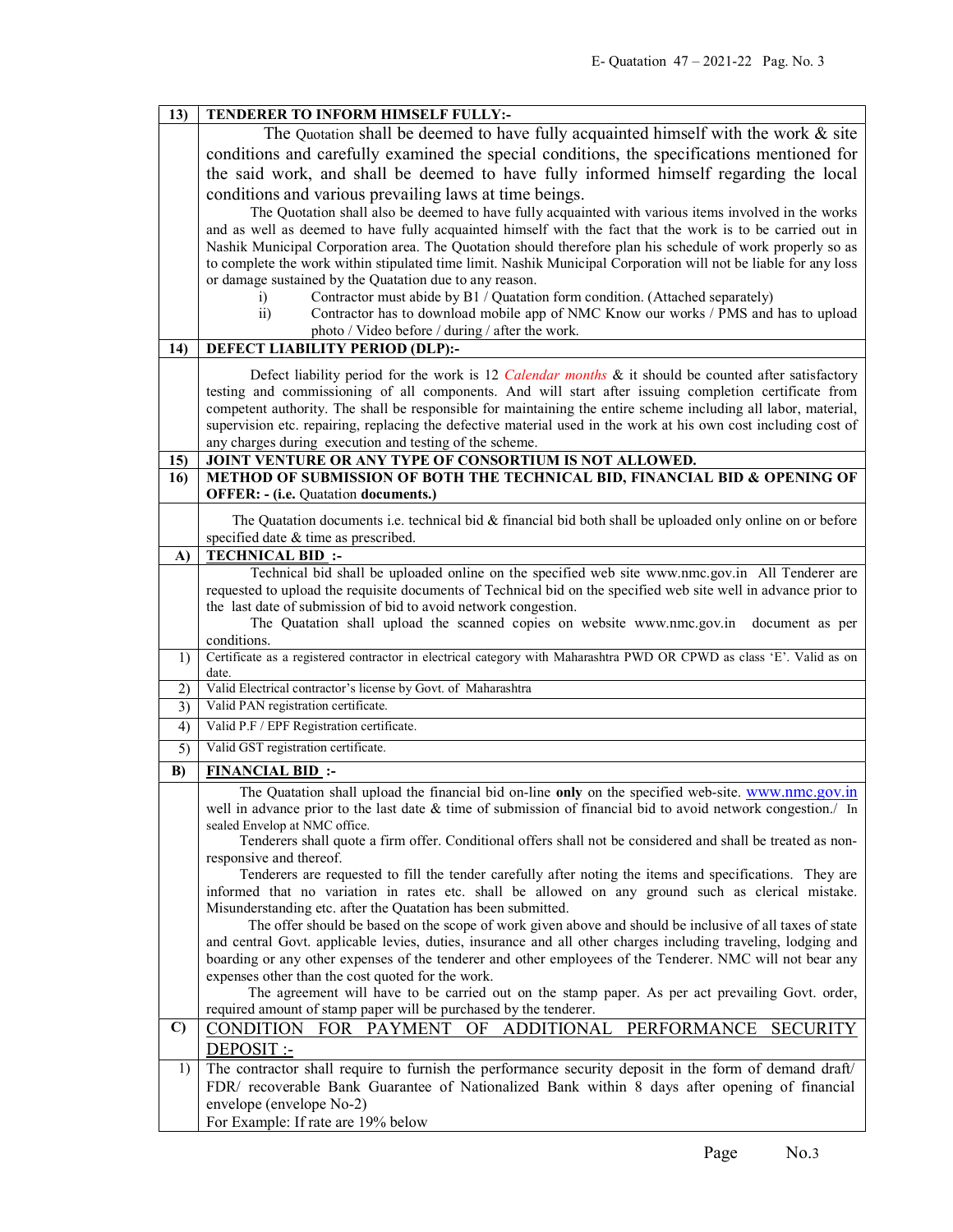|              | TENDERER TO INFORM HIMSELF FULLY:-                                                                                                                                                                     |  |  |
|--------------|--------------------------------------------------------------------------------------------------------------------------------------------------------------------------------------------------------|--|--|
|              | The Quotation shall be deemed to have fully acquainted himself with the work $\&$ site                                                                                                                 |  |  |
|              | conditions and carefully examined the special conditions, the specifications mentioned for                                                                                                             |  |  |
|              | the said work, and shall be deemed to have fully informed himself regarding the local                                                                                                                  |  |  |
|              | conditions and various prevailing laws at time beings.                                                                                                                                                 |  |  |
|              | The Quotation shall also be deemed to have fully acquainted with various items involved in the works                                                                                                   |  |  |
|              | and as well as deemed to have fully acquainted himself with the fact that the work is to be carried out in                                                                                             |  |  |
|              | Nashik Municipal Corporation area. The Quotation should therefore plan his schedule of work properly so as                                                                                             |  |  |
|              | to complete the work within stipulated time limit. Nashik Municipal Corporation will not be liable for any loss                                                                                        |  |  |
|              | or damage sustained by the Quatation due to any reason.                                                                                                                                                |  |  |
|              | Contractor must abide by B1 / Quatation form condition. (Attached separately)<br>$\mathbf{i}$                                                                                                          |  |  |
|              | $\overline{ii}$ )<br>Contractor has to download mobile app of NMC Know our works / PMS and has to upload                                                                                               |  |  |
|              | photo / Video before / during / after the work.                                                                                                                                                        |  |  |
| 14)          | DEFECT LIABILITY PERIOD (DLP):-                                                                                                                                                                        |  |  |
|              | Defect liability period for the work is 12 Calendar months & it should be counted after satisfactory                                                                                                   |  |  |
|              | testing and commissioning of all components. And will start after issuing completion certificate from                                                                                                  |  |  |
|              | competent authority. The shall be responsible for maintaining the entire scheme including all labor, material,                                                                                         |  |  |
|              | supervision etc. repairing, replacing the defective material used in the work at his own cost including cost of                                                                                        |  |  |
|              | any charges during execution and testing of the scheme.                                                                                                                                                |  |  |
| 15)<br>16)   | JOINT VENTURE OR ANY TYPE OF CONSORTIUM IS NOT ALLOWED.<br>METHOD OF SUBMISSION OF BOTH THE TECHNICAL BID, FINANCIAL BID & OPENING OF                                                                  |  |  |
|              | <b>OFFER: - (i.e. Quatation documents.)</b>                                                                                                                                                            |  |  |
|              |                                                                                                                                                                                                        |  |  |
|              | The Quatation documents i.e. technical bid $\&$ financial bid both shall be uploaded only online on or before<br>specified date & time as prescribed.                                                  |  |  |
| $\bf{A}$     | <b>TECHNICAL BID:</b>                                                                                                                                                                                  |  |  |
|              | Technical bid shall be uploaded online on the specified web site www.nmc.gov.in All Tenderer are                                                                                                       |  |  |
|              | requested to upload the requisite documents of Technical bid on the specified web site well in advance prior to                                                                                        |  |  |
|              | the last date of submission of bid to avoid network congestion.                                                                                                                                        |  |  |
|              | The Quatation shall upload the scanned copies on website www.nmc.gov.in<br>document as per                                                                                                             |  |  |
|              |                                                                                                                                                                                                        |  |  |
|              | conditions.                                                                                                                                                                                            |  |  |
| 1)           | Certificate as a registered contractor in electrical category with Maharashtra PWD OR CPWD as class 'E'. Valid as on<br>date.                                                                          |  |  |
| 2)           | Valid Electrical contractor's license by Govt. of Maharashtra                                                                                                                                          |  |  |
| 3)           | Valid PAN registration certificate.                                                                                                                                                                    |  |  |
| 4)           | Valid P.F / EPF Registration certificate.                                                                                                                                                              |  |  |
| 5)           | Valid GST registration certificate.                                                                                                                                                                    |  |  |
| B)           | <b>FINANCIAL BID:</b>                                                                                                                                                                                  |  |  |
|              | The Quatation shall upload the financial bid on-line only on the specified web-site. www.nmc.gov.in                                                                                                    |  |  |
|              | well in advance prior to the last date & time of submission of financial bid to avoid network congestion./ In                                                                                          |  |  |
|              | sealed Envelop at NMC office.                                                                                                                                                                          |  |  |
|              | Tenderers shall quote a firm offer. Conditional offers shall not be considered and shall be treated as non-                                                                                            |  |  |
|              | responsive and thereof.                                                                                                                                                                                |  |  |
|              | Tenderers are requested to fill the tender carefully after noting the items and specifications. They are                                                                                               |  |  |
|              | informed that no variation in rates etc. shall be allowed on any ground such as clerical mistake.<br>Misunderstanding etc. after the Quatation has been submitted.                                     |  |  |
|              | The offer should be based on the scope of work given above and should be inclusive of all taxes of state                                                                                               |  |  |
|              | and central Govt. applicable levies, duties, insurance and all other charges including traveling, lodging and                                                                                          |  |  |
|              | boarding or any other expenses of the tenderer and other employees of the Tenderer. NMC will not bear any                                                                                              |  |  |
|              | expenses other than the cost quoted for the work.                                                                                                                                                      |  |  |
|              | The agreement will have to be carried out on the stamp paper. As per act prevailing Govt. order,                                                                                                       |  |  |
|              | required amount of stamp paper will be purchased by the tenderer.                                                                                                                                      |  |  |
| $\mathbf{C}$ | CONDITION FOR PAYMENT OF<br>ADDITIONAL PERFORMANCE<br><b>SECURITY</b>                                                                                                                                  |  |  |
| 1)           | DEPOSIT :-                                                                                                                                                                                             |  |  |
|              | The contractor shall require to furnish the performance security deposit in the form of demand draft/<br>FDR/ recoverable Bank Guarantee of Nationalized Bank within 8 days after opening of financial |  |  |
|              | envelope (envelope No-2)                                                                                                                                                                               |  |  |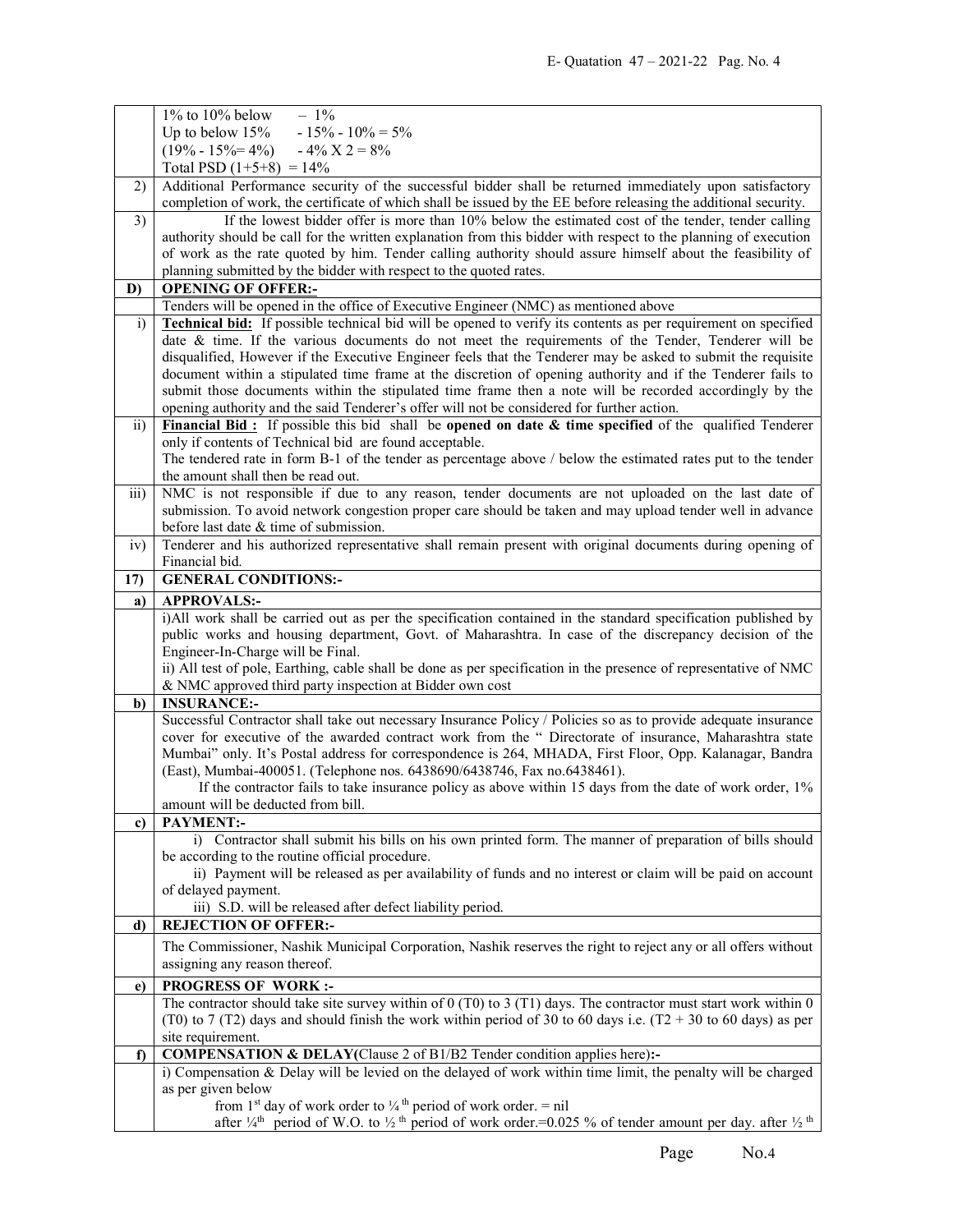|                 | $1\%$ to $10\%$ below<br>$-1\%$                                                                                                                |  |  |
|-----------------|------------------------------------------------------------------------------------------------------------------------------------------------|--|--|
|                 | $-15\% - 10\% = 5\%$<br>Up to below $15%$                                                                                                      |  |  |
|                 | $(19\% - 15\% = 4\%)$ $-4\%$ $X$ 2 = 8%                                                                                                        |  |  |
|                 | Total PSD $(1+5+8) = 14\%$                                                                                                                     |  |  |
| 2)              | Additional Performance security of the successful bidder shall be returned immediately upon satisfactory                                       |  |  |
|                 | completion of work, the certificate of which shall be issued by the EE before releasing the additional security.                               |  |  |
| 3)              | If the lowest bidder offer is more than 10% below the estimated cost of the tender, tender calling                                             |  |  |
|                 | authority should be call for the written explanation from this bidder with respect to the planning of execution                                |  |  |
|                 | of work as the rate quoted by him. Tender calling authority should assure himself about the feasibility of                                     |  |  |
|                 | planning submitted by the bidder with respect to the quoted rates.                                                                             |  |  |
| D)              | <b>OPENING OF OFFER:-</b>                                                                                                                      |  |  |
|                 | Tenders will be opened in the office of Executive Engineer (NMC) as mentioned above                                                            |  |  |
| i)              | <b>Technical bid:</b> If possible technical bid will be opened to verify its contents as per requirement on specified                          |  |  |
|                 | date & time. If the various documents do not meet the requirements of the Tender, Tenderer will be                                             |  |  |
|                 | disqualified, However if the Executive Engineer feels that the Tenderer may be asked to submit the requisite                                   |  |  |
|                 | document within a stipulated time frame at the discretion of opening authority and if the Tenderer fails to                                    |  |  |
|                 | submit those documents within the stipulated time frame then a note will be recorded accordingly by the                                        |  |  |
|                 | opening authority and the said Tenderer's offer will not be considered for further action.                                                     |  |  |
| $\overline{11}$ | Financial Bid: If possible this bid shall be opened on date $\&$ time specified of the qualified Tenderer                                      |  |  |
|                 | only if contents of Technical bid are found acceptable.                                                                                        |  |  |
|                 | The tendered rate in form B-1 of the tender as percentage above / below the estimated rates put to the tender                                  |  |  |
|                 | the amount shall then be read out.                                                                                                             |  |  |
| iii)            | NMC is not responsible if due to any reason, tender documents are not uploaded on the last date of                                             |  |  |
|                 | submission. To avoid network congestion proper care should be taken and may upload tender well in advance                                      |  |  |
|                 | before last date & time of submission.                                                                                                         |  |  |
| iv)             | Tenderer and his authorized representative shall remain present with original documents during opening of                                      |  |  |
|                 | Financial bid.                                                                                                                                 |  |  |
| 17)             | <b>GENERAL CONDITIONS:-</b>                                                                                                                    |  |  |
| a)              | <b>APPROVALS:-</b>                                                                                                                             |  |  |
|                 |                                                                                                                                                |  |  |
|                 |                                                                                                                                                |  |  |
|                 | i)All work shall be carried out as per the specification contained in the standard specification published by                                  |  |  |
|                 | public works and housing department, Govt. of Maharashtra. In case of the discrepancy decision of the                                          |  |  |
|                 | Engineer-In-Charge will be Final.                                                                                                              |  |  |
|                 | ii) All test of pole, Earthing, cable shall be done as per specification in the presence of representative of NMC                              |  |  |
|                 | & NMC approved third party inspection at Bidder own cost                                                                                       |  |  |
| b)              | <b>INSURANCE:-</b>                                                                                                                             |  |  |
|                 | Successful Contractor shall take out necessary Insurance Policy / Policies so as to provide adequate insurance                                 |  |  |
|                 | cover for executive of the awarded contract work from the " Directorate of insurance, Maharashtra state                                        |  |  |
|                 | Mumbai" only. It's Postal address for correspondence is 264, MHADA, First Floor, Opp. Kalanagar, Bandra                                        |  |  |
|                 | (East), Mumbai-400051. (Telephone nos. 6438690/6438746, Fax no.6438461).                                                                       |  |  |
|                 | If the contractor fails to take insurance policy as above within 15 days from the date of work order, 1%                                       |  |  |
|                 | amount will be deducted from bill.                                                                                                             |  |  |
| c)              | <b>PAYMENT:-</b>                                                                                                                               |  |  |
|                 | i) Contractor shall submit his bills on his own printed form. The manner of preparation of bills should                                        |  |  |
|                 | be according to the routine official procedure.                                                                                                |  |  |
|                 | ii) Payment will be released as per availability of funds and no interest or claim will be paid on account                                     |  |  |
|                 | of delayed payment.<br>iii) S.D. will be released after defect liability period.                                                               |  |  |
| d)              | <b>REJECTION OF OFFER:-</b>                                                                                                                    |  |  |
|                 |                                                                                                                                                |  |  |
|                 | The Commissioner, Nashik Municipal Corporation, Nashik reserves the right to reject any or all offers without<br>assigning any reason thereof. |  |  |
|                 |                                                                                                                                                |  |  |
| e)              | <b>PROGRESS OF WORK:-</b>                                                                                                                      |  |  |
|                 | The contractor should take site survey within of $0$ (T0) to $3$ (T1) days. The contractor must start work within $0$                          |  |  |
|                 | (T0) to 7 (T2) days and should finish the work within period of 30 to 60 days i.e. (T2 + 30 to 60 days) as per                                 |  |  |
|                 | site requirement.                                                                                                                              |  |  |
| $\mathbf{f}$    | COMPENSATION & DELAY(Clause 2 of B1/B2 Tender condition applies here):-                                                                        |  |  |
|                 | i) Compensation & Delay will be levied on the delayed of work within time limit, the penalty will be charged                                   |  |  |
|                 | as per given below<br>from 1 <sup>st</sup> day of work order to $\frac{1}{4}$ <sup>th</sup> period of work order. = nil                        |  |  |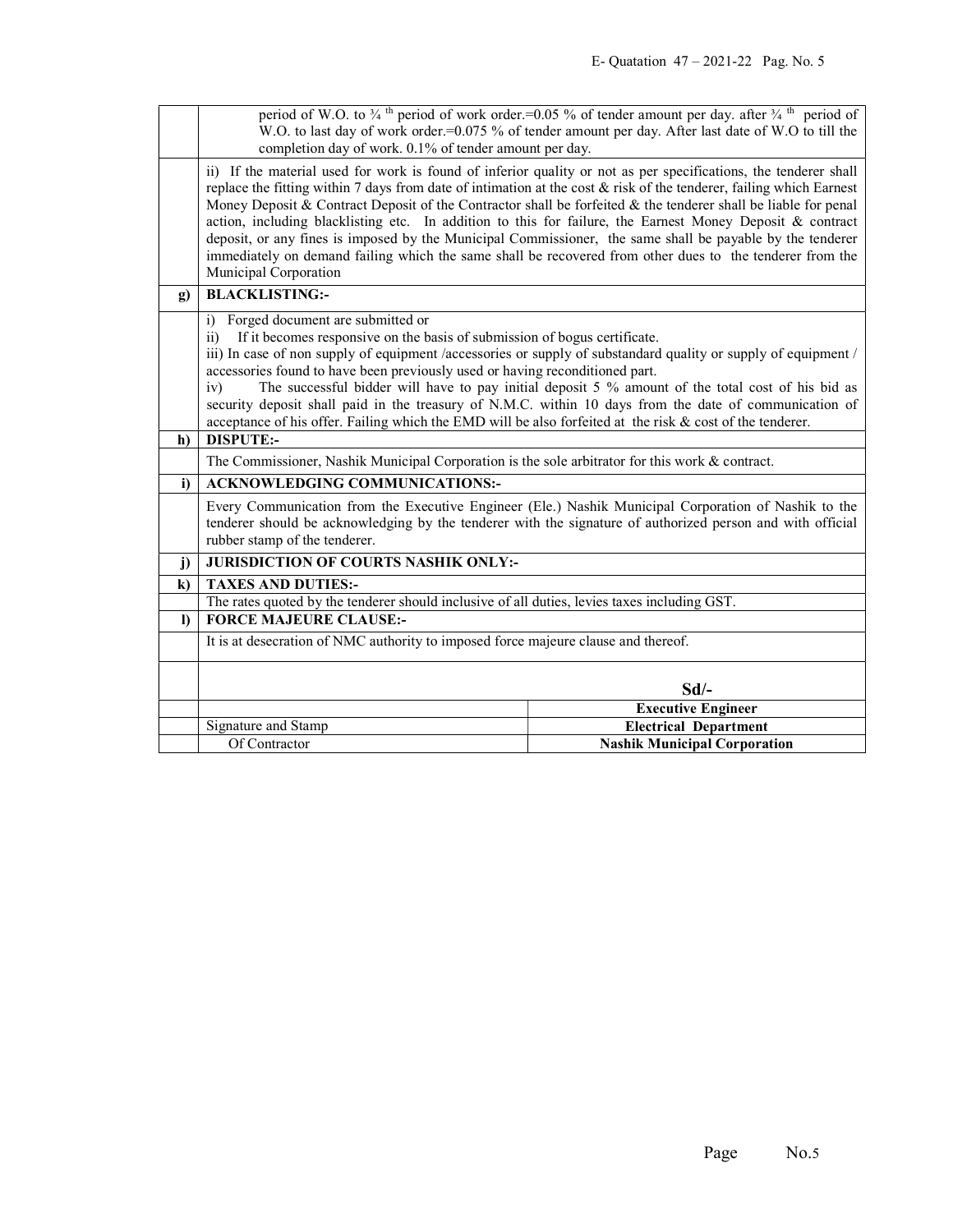|              | period of W.O. to $\frac{3}{4}$ <sup>th</sup> period of work order.=0.05 % of tender amount per day. after $\frac{3}{4}$ <sup>th</sup> period of<br>W.O. to last day of work order.=0.075 % of tender amount per day. After last date of W.O to till the                                                                                                                                                                                                                                                                                                                                                                                                                                                                   |                                                                                                                |  |
|--------------|----------------------------------------------------------------------------------------------------------------------------------------------------------------------------------------------------------------------------------------------------------------------------------------------------------------------------------------------------------------------------------------------------------------------------------------------------------------------------------------------------------------------------------------------------------------------------------------------------------------------------------------------------------------------------------------------------------------------------|----------------------------------------------------------------------------------------------------------------|--|
|              | completion day of work. 0.1% of tender amount per day.                                                                                                                                                                                                                                                                                                                                                                                                                                                                                                                                                                                                                                                                     |                                                                                                                |  |
|              | ii) If the material used for work is found of inferior quality or not as per specifications, the tenderer shall<br>replace the fitting within 7 days from date of intimation at the cost $\&$ risk of the tenderer, failing which Earnest<br>Money Deposit & Contract Deposit of the Contractor shall be forfeited & the tenderer shall be liable for penal<br>action, including blacklisting etc. In addition to this for failure, the Earnest Money Deposit & contract<br>deposit, or any fines is imposed by the Municipal Commissioner, the same shall be payable by the tenderer<br>immediately on demand failing which the same shall be recovered from other dues to the tenderer from the<br>Municipal Corporation |                                                                                                                |  |
| $\mathbf{g}$ | <b>BLACKLISTING:-</b>                                                                                                                                                                                                                                                                                                                                                                                                                                                                                                                                                                                                                                                                                                      |                                                                                                                |  |
|              | Forged document are submitted or<br>i)                                                                                                                                                                                                                                                                                                                                                                                                                                                                                                                                                                                                                                                                                     |                                                                                                                |  |
|              | If it becomes responsive on the basis of submission of bogus certificate.<br>$\overline{11}$                                                                                                                                                                                                                                                                                                                                                                                                                                                                                                                                                                                                                               |                                                                                                                |  |
|              | accessories found to have been previously used or having reconditioned part.                                                                                                                                                                                                                                                                                                                                                                                                                                                                                                                                                                                                                                               | iii) In case of non supply of equipment /accessories or supply of substandard quality or supply of equipment / |  |
|              | iv)                                                                                                                                                                                                                                                                                                                                                                                                                                                                                                                                                                                                                                                                                                                        | The successful bidder will have to pay initial deposit 5 % amount of the total cost of his bid as              |  |
|              | security deposit shall paid in the treasury of N.M.C. within 10 days from the date of communication of                                                                                                                                                                                                                                                                                                                                                                                                                                                                                                                                                                                                                     |                                                                                                                |  |
|              | acceptance of his offer. Failing which the EMD will be also forfeited at the risk $\&$ cost of the tenderer.                                                                                                                                                                                                                                                                                                                                                                                                                                                                                                                                                                                                               |                                                                                                                |  |
| h)           | <b>DISPUTE:-</b>                                                                                                                                                                                                                                                                                                                                                                                                                                                                                                                                                                                                                                                                                                           |                                                                                                                |  |
|              | The Commissioner, Nashik Municipal Corporation is the sole arbitrator for this work $\&$ contract.                                                                                                                                                                                                                                                                                                                                                                                                                                                                                                                                                                                                                         |                                                                                                                |  |
| i)           | <b>ACKNOWLEDGING COMMUNICATIONS:-</b>                                                                                                                                                                                                                                                                                                                                                                                                                                                                                                                                                                                                                                                                                      |                                                                                                                |  |
|              | Every Communication from the Executive Engineer (Ele.) Nashik Municipal Corporation of Nashik to the<br>tenderer should be acknowledging by the tenderer with the signature of authorized person and with official<br>rubber stamp of the tenderer.                                                                                                                                                                                                                                                                                                                                                                                                                                                                        |                                                                                                                |  |
| $\mathbf{j}$ | <b>JURISDICTION OF COURTS NASHIK ONLY:-</b>                                                                                                                                                                                                                                                                                                                                                                                                                                                                                                                                                                                                                                                                                |                                                                                                                |  |
| $\bf k)$     | <b>TAXES AND DUTIES:-</b>                                                                                                                                                                                                                                                                                                                                                                                                                                                                                                                                                                                                                                                                                                  |                                                                                                                |  |
|              | The rates quoted by the tenderer should inclusive of all duties, levies taxes including GST.                                                                                                                                                                                                                                                                                                                                                                                                                                                                                                                                                                                                                               |                                                                                                                |  |
| $\mathbf{D}$ | <b>FORCE MAJEURE CLAUSE:-</b>                                                                                                                                                                                                                                                                                                                                                                                                                                                                                                                                                                                                                                                                                              |                                                                                                                |  |
|              | It is at desecration of NMC authority to imposed force majeure clause and thereof.                                                                                                                                                                                                                                                                                                                                                                                                                                                                                                                                                                                                                                         |                                                                                                                |  |
|              | $Sd$ /-                                                                                                                                                                                                                                                                                                                                                                                                                                                                                                                                                                                                                                                                                                                    |                                                                                                                |  |
|              |                                                                                                                                                                                                                                                                                                                                                                                                                                                                                                                                                                                                                                                                                                                            | <b>Executive Engineer</b>                                                                                      |  |
|              | Signature and Stamp                                                                                                                                                                                                                                                                                                                                                                                                                                                                                                                                                                                                                                                                                                        | <b>Electrical Department</b>                                                                                   |  |
|              | Of Contractor                                                                                                                                                                                                                                                                                                                                                                                                                                                                                                                                                                                                                                                                                                              | <b>Nashik Municipal Corporation</b>                                                                            |  |
|              |                                                                                                                                                                                                                                                                                                                                                                                                                                                                                                                                                                                                                                                                                                                            |                                                                                                                |  |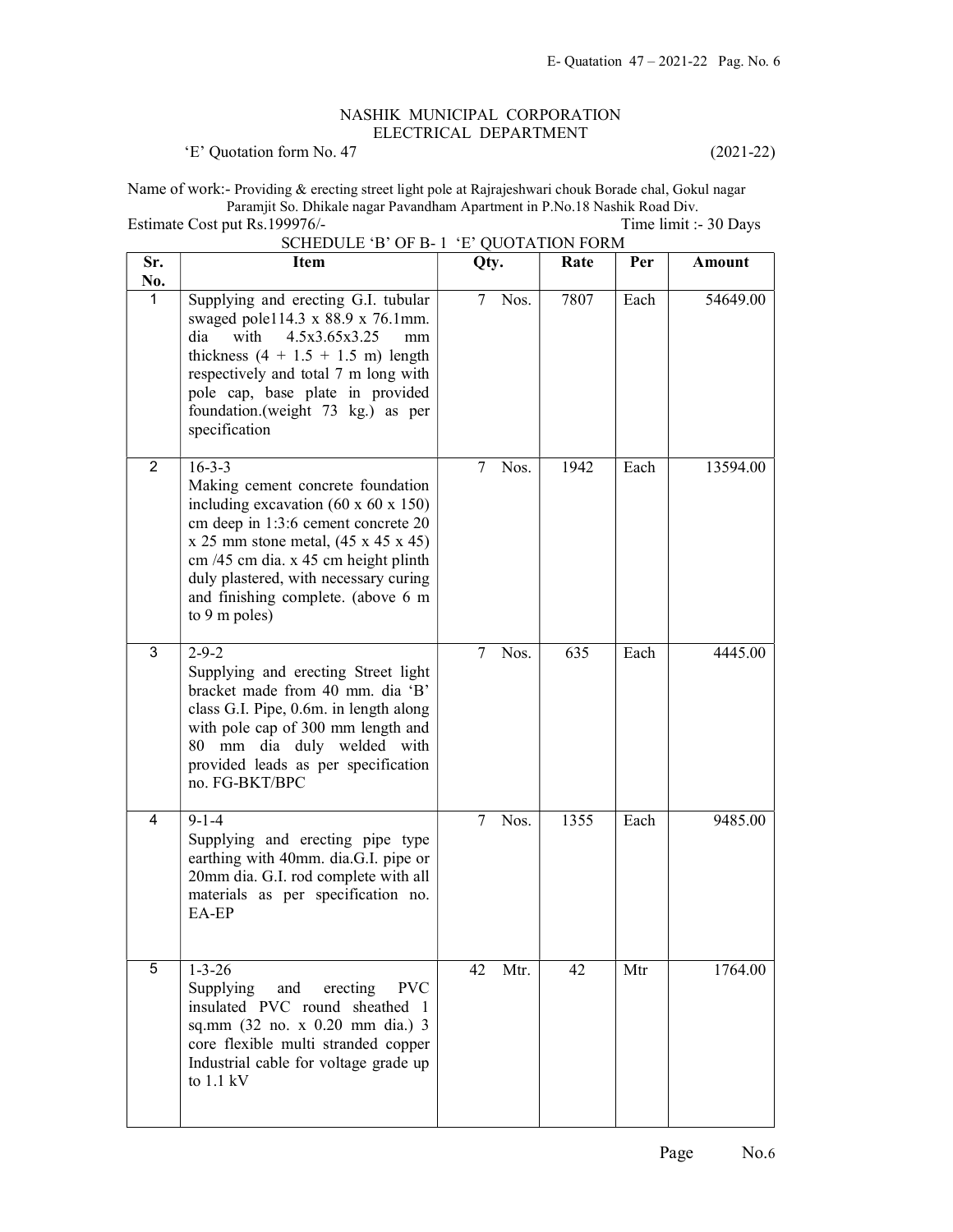## NASHIK MUNICIPAL CORPORATION ELECTRICAL DEPARTMENT

'E' Quotation form No. 47 (2021-22)

Name of work:- Providing & erecting street light pole at Rajrajeshwari chouk Borade chal, Gokul nagar Paramjit So. Dhikale nagar Pavandham Apartment in P.No.18 Nashik Road Div.

Estimate Cost put Rs.199976/- Time limit :- 30 Days SCHEDULE 'B' OF B- 1 'E' QUOTATION FORM Sr. Item  $Qty.$  Rate Per Amount

| Sr.<br>No.     | Item                                                                                                                                                                                                                                                                                                                                       | Qty.           | Rate | Per  | <b>Amount</b> |
|----------------|--------------------------------------------------------------------------------------------------------------------------------------------------------------------------------------------------------------------------------------------------------------------------------------------------------------------------------------------|----------------|------|------|---------------|
| 1              | Supplying and erecting G.I. tubular<br>swaged pole114.3 x 88.9 x 76.1mm.<br>4.5x3.65x3.25<br>dia<br>with<br>mm<br>thickness $(4 + 1.5 + 1.5 \text{ m})$ length<br>respectively and total 7 m long with<br>pole cap, base plate in provided<br>foundation.(weight 73 kg.) as per<br>specification                                           | Nos.<br>7      | 7807 | Each | 54649.00      |
| $\overline{2}$ | $16 - 3 - 3$<br>Making cement concrete foundation<br>including excavation $(60 \times 60 \times 150)$<br>cm deep in 1:3:6 cement concrete 20<br>$x 25$ mm stone metal, $(45 x 45 x 45)$<br>cm /45 cm dia. x 45 cm height plinth<br>duly plastered, with necessary curing<br>and finishing complete. (above 6 m<br>to $9 \text{ m poles}$ ) | 7<br>Nos.      | 1942 | Each | 13594.00      |
| 3              | $2 - 9 - 2$<br>Supplying and erecting Street light<br>bracket made from 40 mm. dia 'B'<br>class G.I. Pipe, 0.6m. in length along<br>with pole cap of 300 mm length and<br>mm dia duly welded with<br>80<br>provided leads as per specification<br>no. FG-BKT/BPC                                                                           | 7<br>Nos.      | 635  | Each | 4445.00       |
| 4              | $9 - 1 - 4$<br>Supplying and erecting pipe type<br>earthing with 40mm. dia.G.I. pipe or<br>20mm dia. G.I. rod complete with all<br>materials as per specification no.<br>EA-EP                                                                                                                                                             | $\tau$<br>Nos. | 1355 | Each | 9485.00       |
| 5              | $1 - 3 - 26$<br>Supplying<br>and<br>erecting<br><b>PVC</b><br>insulated PVC round sheathed 1<br>sq.mm (32 no. x 0.20 mm dia.) 3<br>core flexible multi stranded copper<br>Industrial cable for voltage grade up<br>to $1.1 \text{ kV}$                                                                                                     | Mtr.<br>42     | 42   | Mtr  | 1764.00       |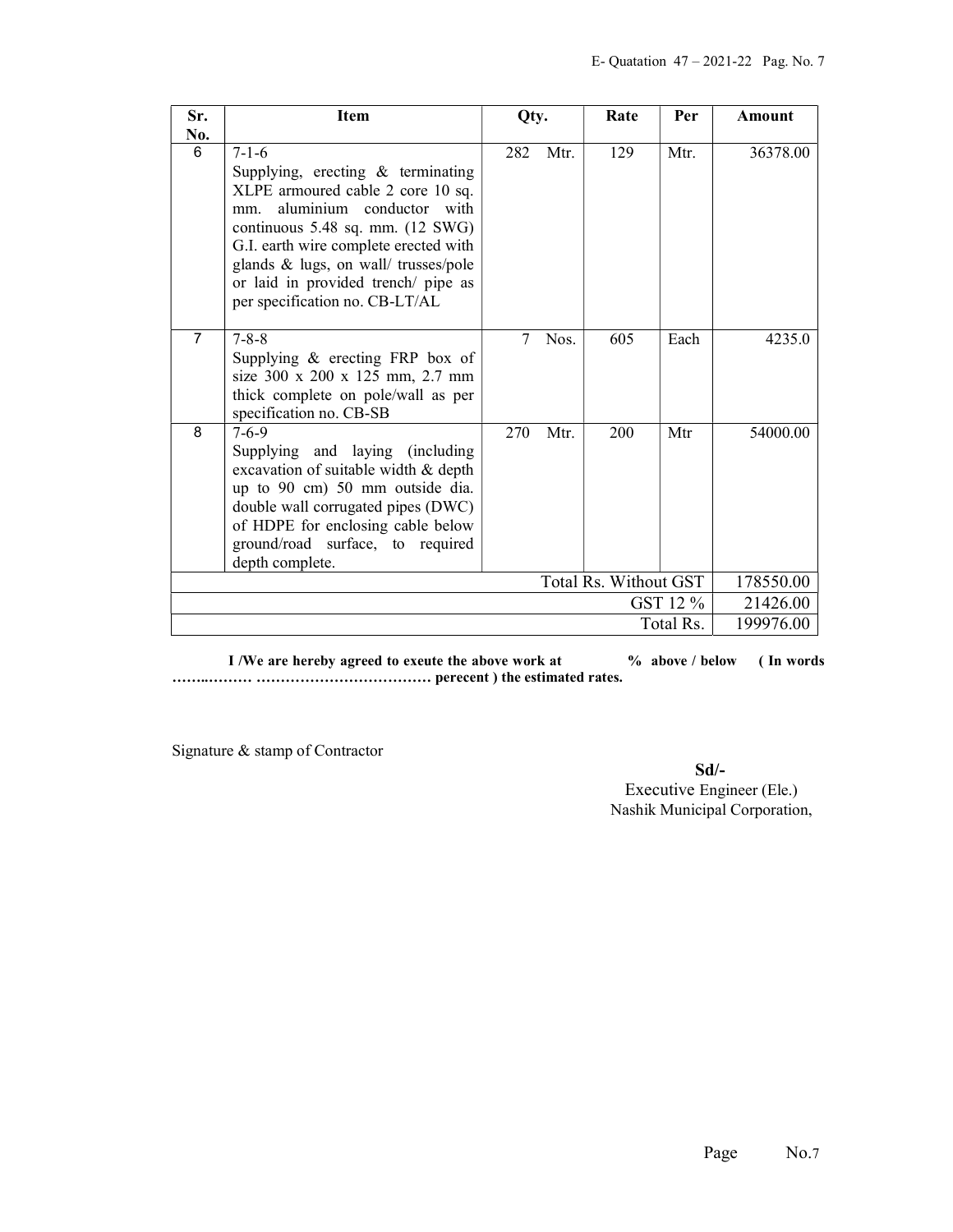| Sr.            | <b>Item</b>                                                                                                                                                                                                                                                                                                                           | Qty.   |                       | Rate | Per       | <b>Amount</b> |
|----------------|---------------------------------------------------------------------------------------------------------------------------------------------------------------------------------------------------------------------------------------------------------------------------------------------------------------------------------------|--------|-----------------------|------|-----------|---------------|
| No.<br>6       | $7 - 1 - 6$<br>Supplying, erecting $\&$ terminating<br>XLPE armoured cable 2 core 10 sq.<br>aluminium conductor with<br>mm.<br>continuous $5.48$ sq. mm. $(12 \text{ SWG})$<br>G.I. earth wire complete erected with<br>glands & lugs, on wall/ trusses/pole<br>or laid in provided trench/ pipe as<br>per specification no. CB-LT/AL | 282    | Mtr.                  | 129  | Mtr.      | 36378.00      |
| $\overline{7}$ | $7 - 8 - 8$<br>Supplying $\&$ erecting FRP box of<br>size 300 x 200 x 125 mm, 2.7 mm<br>thick complete on pole/wall as per<br>specification no. CB-SB                                                                                                                                                                                 | $\tau$ | Nos.                  | 605  | Each      | 4235.0        |
| 8              | $7 - 6 - 9$<br>Supplying and laying (including<br>excavation of suitable width & depth<br>up to 90 cm) 50 mm outside dia.<br>double wall corrugated pipes (DWC)<br>of HDPE for enclosing cable below<br>ground/road surface, to required<br>depth complete.                                                                           | 270    | Mtr.                  | 200  | Mtr       | 54000.00      |
|                |                                                                                                                                                                                                                                                                                                                                       |        | Total Rs. Without GST |      |           | 178550.00     |
|                |                                                                                                                                                                                                                                                                                                                                       |        |                       |      | GST 12 %  | 21426.00      |
|                |                                                                                                                                                                                                                                                                                                                                       |        |                       |      | Total Rs. | 199976.00     |

I /We are hereby agreed to exeute the above work at  $\%$  above / below (In words) ……..……… ……………………………… perecent ) the estimated rates.

Signature & stamp of Contractor

Sd/- Executive Engineer (Ele.) Nashik Municipal Corporation,